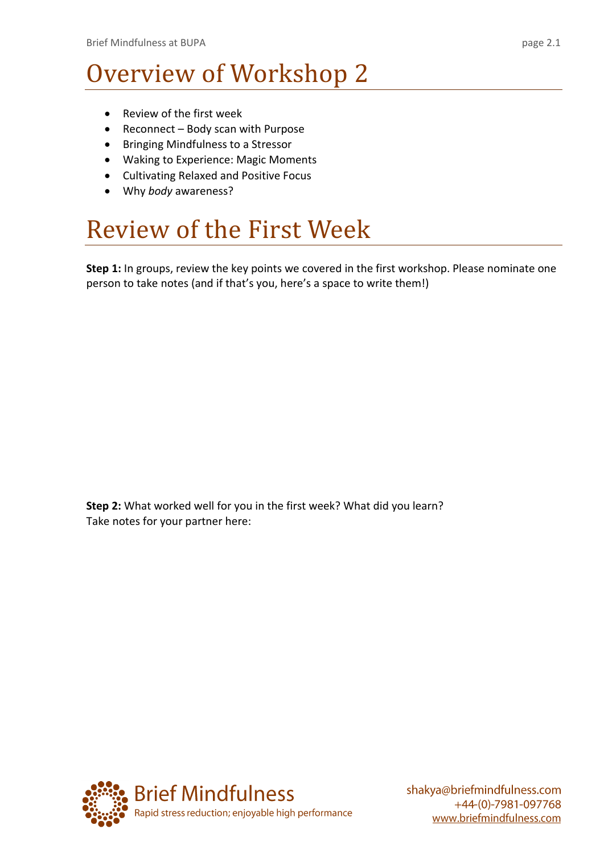#### Overview of Workshop 2

- Review of the first week
- Reconnect Body scan with Purpose
- Bringing Mindfulness to a Stressor
- Waking to Experience: Magic Moments
- Cultivating Relaxed and Positive Focus
- Why *body* awareness?

#### Review of the First Week

**Step 1:** In groups, review the key points we covered in the first workshop. Please nominate one person to take notes (and if that's you, here's a space to write them!)

**Step 2:** What worked well for you in the first week? What did you learn? Take notes for your partner here:

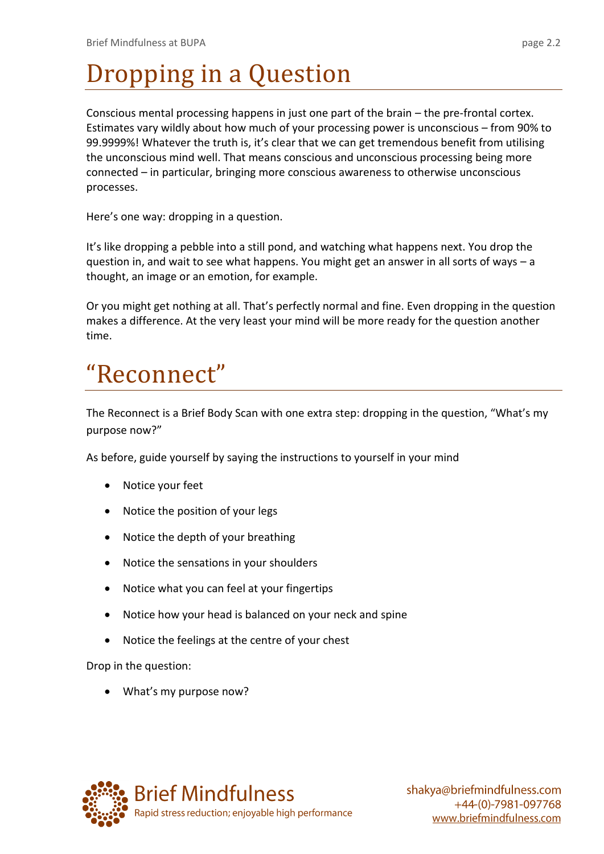## Dropping in a Question

Conscious mental processing happens in just one part of the brain – the pre-frontal cortex. Estimates vary wildly about how much of your processing power is unconscious – from 90% to 99.9999%! Whatever the truth is, it's clear that we can get tremendous benefit from utilising the unconscious mind well. That means conscious and unconscious processing being more connected – in particular, bringing more conscious awareness to otherwise unconscious processes.

Here's one way: dropping in a question.

It's like dropping a pebble into a still pond, and watching what happens next. You drop the question in, and wait to see what happens. You might get an answer in all sorts of ways – a thought, an image or an emotion, for example.

Or you might get nothing at all. That's perfectly normal and fine. Even dropping in the question makes a difference. At the very least your mind will be more ready for the question another time.

### "Reconnect"

The Reconnect is a Brief Body Scan with one extra step: dropping in the question, "What's my purpose now?"

As before, guide yourself by saying the instructions to yourself in your mind

- Notice your feet
- Notice the position of your legs
- Notice the depth of your breathing
- Notice the sensations in your shoulders
- Notice what you can feel at your fingertips
- Notice how your head is balanced on your neck and spine
- Notice the feelings at the centre of your chest

Drop in the question:

• What's my purpose now?

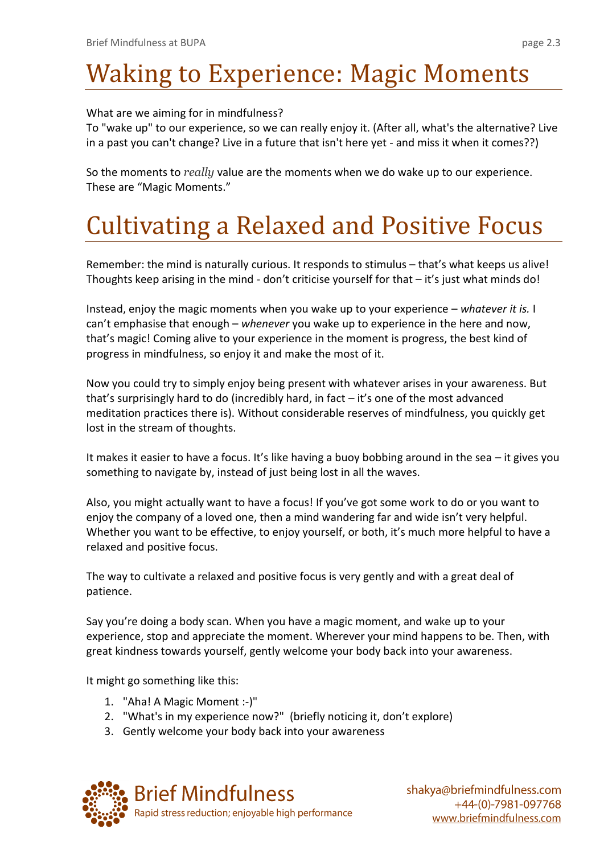# Waking to Experience: Magic Moments

What are we aiming for in mindfulness?

To "wake up" to our experience, so we can really enjoy it. (After all, what's the alternative? Live in a past you can't change? Live in a future that isn't here yet - and miss it when it comes??)

So the moments to *really* value are the moments when we do wake up to our experience. These are "Magic Moments."

# Cultivating a Relaxed and Positive Focus

Remember: the mind is naturally curious. It responds to stimulus – that's what keeps us alive! Thoughts keep arising in the mind - don't criticise yourself for that – it's just what minds do!

Instead, enjoy the magic moments when you wake up to your experience – *whatever it is.* I can't emphasise that enough – *whenever* you wake up to experience in the here and now, that's magic! Coming alive to your experience in the moment is progress, the best kind of progress in mindfulness, so enjoy it and make the most of it.

Now you could try to simply enjoy being present with whatever arises in your awareness. But that's surprisingly hard to do (incredibly hard, in fact  $-$  it's one of the most advanced meditation practices there is). Without considerable reserves of mindfulness, you quickly get lost in the stream of thoughts.

It makes it easier to have a focus. It's like having a buoy bobbing around in the sea – it gives you something to navigate by, instead of just being lost in all the waves.

Also, you might actually want to have a focus! If you've got some work to do or you want to enjoy the company of a loved one, then a mind wandering far and wide isn't very helpful. Whether you want to be effective, to enjoy yourself, or both, it's much more helpful to have a relaxed and positive focus.

The way to cultivate a relaxed and positive focus is very gently and with a great deal of patience.

Say you're doing a body scan. When you have a magic moment, and wake up to your experience, stop and appreciate the moment. Wherever your mind happens to be. Then, with great kindness towards yourself, gently welcome your body back into your awareness.

It might go something like this:

- 1. "Aha! A Magic Moment :-)"
- 2. "What's in my experience now?" (briefly noticing it, don't explore)
- 3. Gently welcome your body back into your awareness

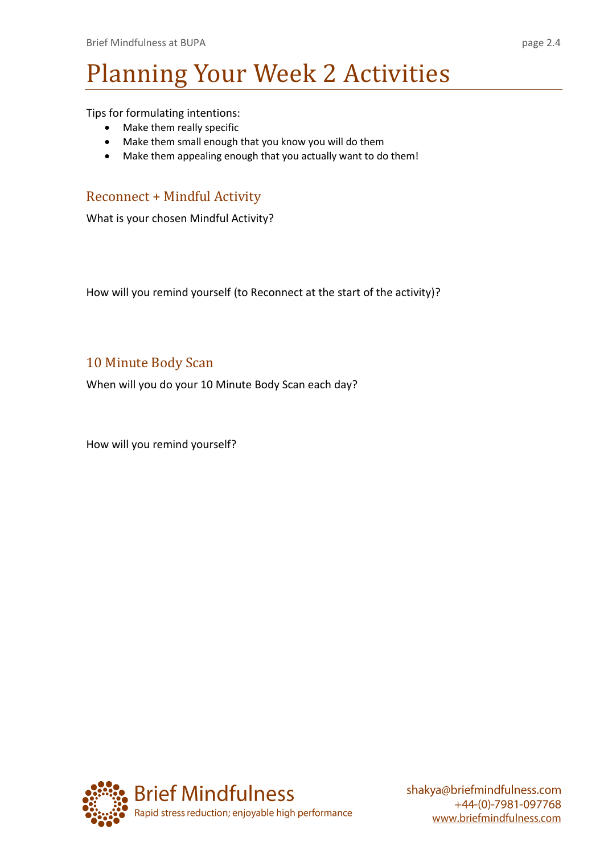# Planning Your Week 2 Activities

Tips for formulating intentions:

- Make them really specific
- Make them small enough that you know you will do them
- Make them appealing enough that you actually want to do them!

#### Reconnect + Mindful Activity

What is your chosen Mindful Activity?

How will you remind yourself (to Reconnect at the start of the activity)?

#### 10 Minute Body Scan

When will you do your 10 Minute Body Scan each day?

How will you remind yourself?

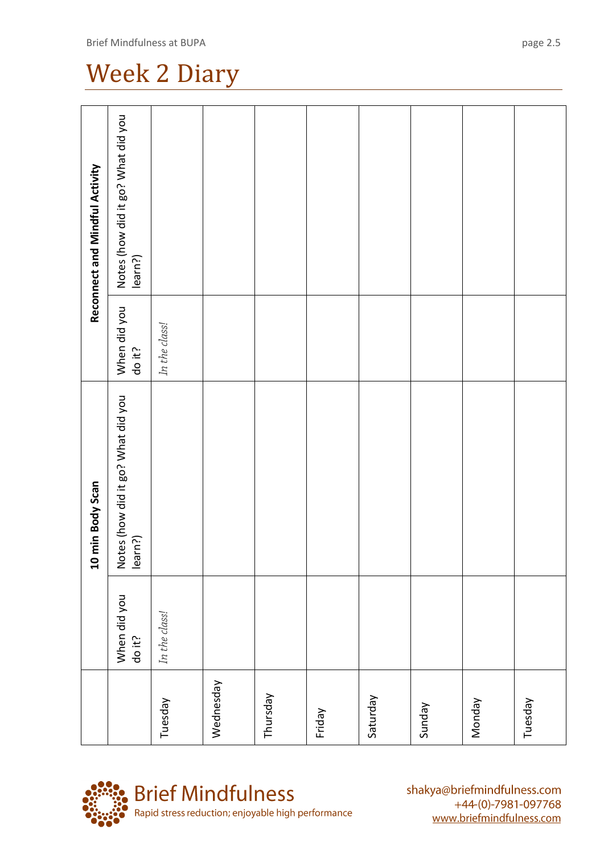|           |                        | 10 min Body Scan                              |                        | Reconnect and Mindful Activity                |
|-----------|------------------------|-----------------------------------------------|------------------------|-----------------------------------------------|
|           | When did you<br>do it? | Notes (how did it go? What did you<br>learn?) | When did you<br>do it? | Notes (how did it go? What did you<br>learn?) |
| Tuesday   | In the class!          |                                               | In the class!          |                                               |
| Wednesday |                        |                                               |                        |                                               |
| Thursday  |                        |                                               |                        |                                               |
| Friday    |                        |                                               |                        |                                               |
| Saturday  |                        |                                               |                        |                                               |
| Sunday    |                        |                                               |                        |                                               |
| Monday    |                        |                                               |                        |                                               |
| Tuesday   |                        |                                               |                        |                                               |



shakya@briefmindfulness.com +44-(0)-7981-097768 www.briefmindfulness.com

#### Brief Mindfulness at BUPA

Week 2 Diary